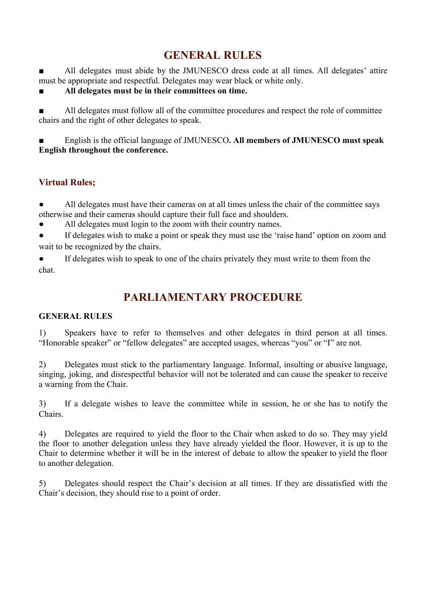# **GENERAL RULES**

■ All delegates must abide by the JMUNESCO dress code at all times. All delegates' attire must be appropriate and respectful. Delegates may wear black or white only.

**■ All delegates must be in their committees on time.**

All delegates must follow all of the committee procedures and respect the role of committee chairs and the right of other delegates to speak.

English is the official language of JMUNESCO. All members of **JMUNESCO** must speak **English throughout the conference.**

## **Virtual Rules;**

All delegates must have their cameras on at all times unless the chair of the committee says otherwise and their cameras should capture their full face and shoulders.

All delegates must login to the zoom with their country names.

If delegates wish to make a point or speak they must use the 'raise hand' option on zoom and wait to be recognized by the chairs.

If delegates wish to speak to one of the chairs privately they must write to them from the chat.

# **PARLIAMENTARY PROCEDURE**

#### **GENERAL RULES**

1) Speakers have to refer to themselves and other delegates in third person at all times. "Honorable speaker" or "fellow delegates" are accepted usages, whereas "you" or "I" are not.

2) Delegates must stick to the parliamentary language. Informal, insulting or abusive language, singing, joking, and disrespectful behavior will not be tolerated and can cause the speaker to receive a warning from the Chair.

3) If a delegate wishes to leave the committee while in session, he or she has to notify the Chairs.

4) Delegates are required to yield the floor to the Chair when asked to do so. They may yield the floor to another delegation unless they have already yielded the floor. However, it is up to the Chair to determine whether it will be in the interest of debate to allow the speaker to yield the floor to another delegation.

5) Delegates should respect the Chair's decision at all times. If they are dissatisfied with the Chair's decision, they should rise to a point of order.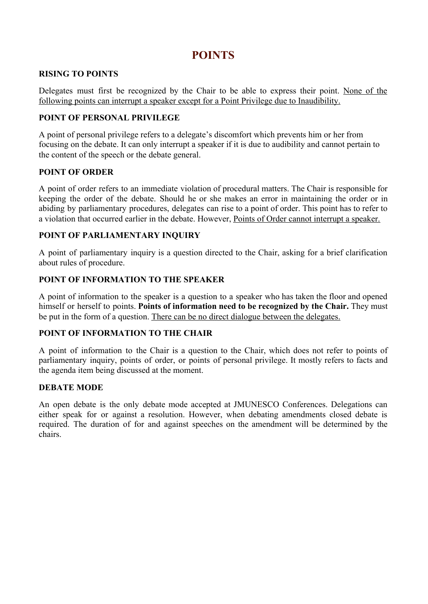## **POINTS**

### **RISING TO POINTS**

Delegates must first be recognized by the Chair to be able to express their point. None of the following points can interrupt a speaker except for a Point Privilege due to Inaudibility.

### **POINT OF PERSONAL PRIVILEGE**

A point of personal privilege refers to a delegate's discomfort which prevents him or her from focusing on the debate. It can only interrupt a speaker if it is due to audibility and cannot pertain to the content of the speech or the debate general.

### **POINT OF ORDER**

A point of order refers to an immediate violation of procedural matters. The Chair is responsible for keeping the order of the debate. Should he or she makes an error in maintaining the order or in abiding by parliamentary procedures, delegates can rise to a point of order. This point has to refer to a violation that occurred earlier in the debate. However, Points of Order cannot interrupt a speaker.

## **POINT OF PARLIAMENTARY INQUIRY**

A point of parliamentary inquiry is a question directed to the Chair, asking for a brief clarification about rules of procedure.

### **POINT OF INFORMATION TO THE SPEAKER**

A point of information to the speaker is a question to a speaker who has taken the floor and opened himself or herself to points. **Points of information need to be recognized by the Chair.** They must be put in the form of a question. There can be no direct dialogue between the delegates.

## **POINT OF INFORMATION TO THE CHAIR**

A point of information to the Chair is a question to the Chair, which does not refer to points of parliamentary inquiry, points of order, or points of personal privilege. It mostly refers to facts and the agenda item being discussed at the moment.

#### **DEBATE MODE**

An open debate is the only debate mode accepted at JMUNESCO Conferences. Delegations can either speak for or against a resolution. However, when debating amendments closed debate is required. The duration of for and against speeches on the amendment will be determined by the chairs.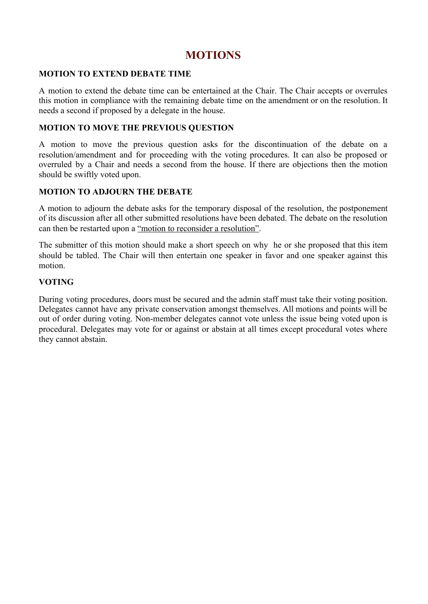## **MOTIONS**

#### **MOTION TO EXTEND DEBATE TIME**

A motion to extend the debate time can be entertained at the Chair. The Chair accepts or overrules this motion in compliance with the remaining debate time on the amendment or on the resolution. It needs a second if proposed by a delegate in the house.

#### **MOTION TO MOVE THE PREVIOUS QUESTION**

A motion to move the previous question asks for the discontinuation of the debate on a resolution/amendment and for proceeding with the voting procedures. It can also be proposed or overruled by a Chair and needs a second from the house. If there are objections then the motion should be swiftly voted upon.

#### **MOTION TO ADJOURN THE DEBATE**

A motion to adjourn the debate asks for the temporary disposal of the resolution, the postponement of its discussion after all other submitted resolutions have been debated. The debate on the resolution can then be restarted upon a "motion to reconsider a resolution".

The submitter of this motion should make a short speech on why he or she proposed that this item should be tabled. The Chair will then entertain one speaker in favor and one speaker against this motion.

#### **VOTING**

During voting procedures, doors must be secured and the admin staff must take their voting position. Delegates cannot have any private conservation amongst themselves. All motions and points will be out of order during voting. Non-member delegates cannot vote unless the issue being voted upon is procedural. Delegates may vote for or against or abstain at all times except procedural votes where they cannot abstain.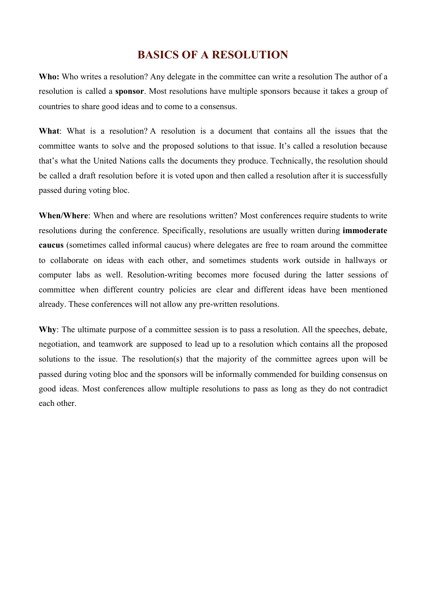# **BASICS OF A RESOLUTION**

**Who:** Who writes a resolution? Any delegate in the committee can write a resolution The author of a resolution is called a **sponsor**. Most resolutions have multiple sponsors because it takes a group of countries to share good ideas and to come to a consensus.

**What**: What is a resolution? A resolution is a document that contains all the issues that the committee wants to solve and the proposed solutions to that issue. It's called a resolution because that's what the United Nations calls the documents they produce. Technically, the resolution should be called a draft resolution before it is voted upon and then called a resolution after it is successfully passed during voting bloc.

**When/Where**: When and where are resolutions written? Most conferences require students to write resolutions during the conference. Specifically, resolutions are usually written during **immoderate caucus** (sometimes called informal caucus) where delegates are free to roam around the committee to collaborate on ideas with each other, and sometimes students work outside in hallways or computer labs as well. Resolution-writing becomes more focused during the latter sessions of committee when different country policies are clear and different ideas have been mentioned already. These conferences will not allow any pre-written resolutions.

Why: The ultimate purpose of a committee session is to pass a resolution. All the speeches, debate, negotiation, and teamwork are supposed to lead up to a resolution which contains all the proposed solutions to the issue. The resolution(s) that the majority of the committee agrees upon will be passed during voting bloc and the sponsors will be informally commended for building consensus on good ideas. Most conferences allow multiple resolutions to pass as long as they do not contradict each other.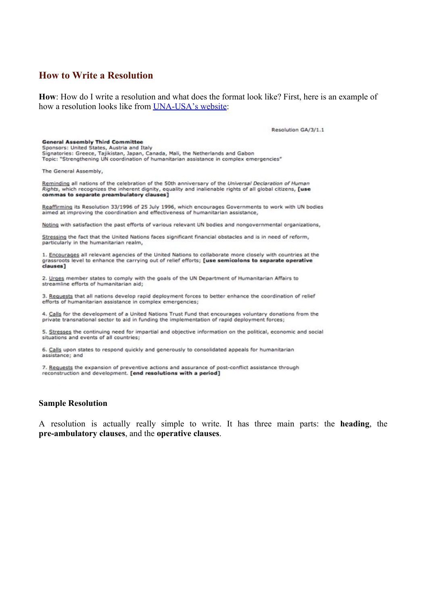#### **How to Write a Resolution**

**How**: How do I write a resolution and what does the format look like? First, here is an example of how a resolution looks like from [UNA-USA's website:](http://www.unausa.org/munpreparation/resolutions/sample)

Resolution GA/3/1.1

#### **General Assembly Third Committee**

Sponsors: United States, Austria and Italy

Signatories: Greece, Tajikistan, Japan, Canada, Mali, the Netherlands and Gabon Topic: "Strengthening UN coordination of humanitarian assistance in complex emergencies"

The General Assembly,

Reminding all nations of the celebration of the 50th anniversary of the Universal Declaration of Human Rights, which recognizes the inherent dignity, equality and inalienable rights of all global citizens, [use commas to separate preambulatory clauses]

Reaffirming its Resolution 33/1996 of 25 July 1996, which encourages Governments to work with UN bodies aimed at improving the coordination and effectiveness of humanitarian assistance,

Noting with satisfaction the past efforts of various relevant UN bodies and nongovernmental organizations,

Stressing the fact that the United Nations faces significant financial obstacles and is in need of reform, particularly in the humanitarian realm,

1. Encourages all relevant agencies of the United Nations to collaborate more closely with countries at the grassroots level to enhance the carrying out of relief efforts; [use semicolons to separate operative clauses]

2. Urges member states to comply with the goals of the UN Department of Humanitarian Affairs to streamline efforts of humanitarian aid;

3. Requests that all nations develop rapid deployment forces to better enhance the coordination of relief efforts of humanitarian assistance in complex emergencies;

4. Calls for the development of a United Nations Trust Fund that encourages voluntary donations from the private transnational sector to aid in funding the implementation of rapid deployment forces;

5. Stresses the continuing need for impartial and objective information on the political, economic and social situations and events of all countries;

6. Calls upon states to respond quickly and generously to consolidated appeals for humanitarian assistance; and

7. Requests the expansion of preventive actions and assurance of post-conflict assistance through reconstruction and development. [end resolutions with a period]

#### **Sample Resolution**

A resolution is actually really simple to write. It has three main parts: the **heading**, the **pre-ambulatory clauses**, and the **operative clauses**.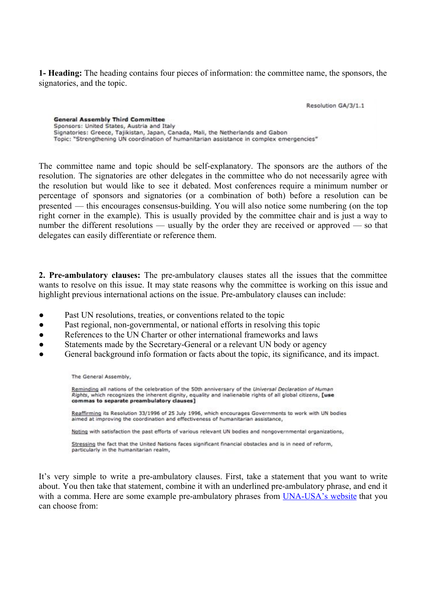**1- Heading:** The heading contains four pieces of information: the committee name, the sponsors, the signatories, and the topic.

Resolution GA/3/1.1

**General Assembly Third Committee** Sponsors: United States, Austria and Italy Signatories: Greece, Tajikistan, Japan, Canada, Mali, the Netherlands and Gabon Topic: "Strengthening UN coordination of humanitarian assistance in complex emergencies"

The committee name and topic should be self-explanatory. The sponsors are the authors of the resolution. The signatories are other delegates in the committee who do not necessarily agree with the resolution but would like to see it debated. Most conferences require a minimum number or percentage of sponsors and signatories (or a combination of both) before a resolution can be presented — this encourages consensus-building. You will also notice some numbering (on the top right corner in the example). This is usually provided by the committee chair and is just a way to number the different resolutions — usually by the order they are received or approved — so that delegates can easily differentiate or reference them.

**2. Pre-ambulatory clauses:** The pre-ambulatory clauses states all the issues that the committee wants to resolve on this issue. It may state reasons why the committee is working on this issue and highlight previous international actions on the issue. Pre-ambulatory clauses can include:

- Past UN resolutions, treaties, or conventions related to the topic
- Past regional, non-governmental, or national efforts in resolving this topic
- References to the UN Charter or other international frameworks and laws
- Statements made by the Secretary-General or a relevant UN body or agency
- General background info formation or facts about the topic, its significance, and its impact.

The General Assembly,

Reminding all nations of the celebration of the 50th anniversary of the Universal Declaration of Human Rights, which recognizes the inherent dignity, equality and inalienable rights of all global citizens, [use commas to separate preambulatory clauses]

Reaffirming its Resolution 33/1996 of 25 July 1996, which encourages Governments to work with UN bodies aimed at improving the coordination and effectiveness of humanitarian assistance,

Noting with satisfaction the past efforts of various relevant UN bodies and nongovernmental organizations.

Stressing the fact that the United Nations faces significant financial obstacles and is in need of reform, particularly in the humanitarian realm,

It's very simple to write a pre-ambulatory clauses. First, take a statement that you want to write about. You then take that statement, combine it with an underlined pre-ambulatory phrase, and end it with a comma. Here are some example pre-ambulatory phrases from [UNA-USA's](http://www.unausa.org/munpreparation/resolutions/clauses) website that you can choose from: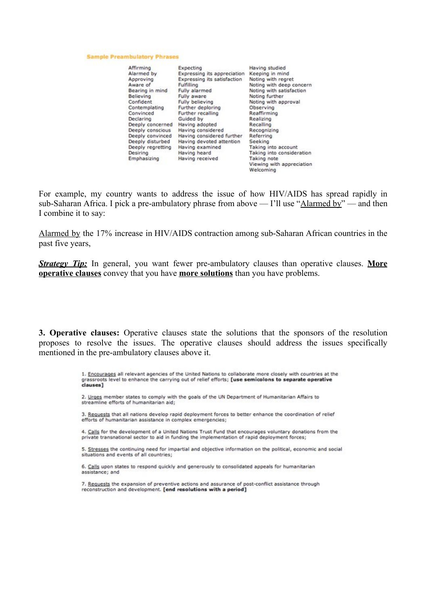#### **Sample Preambulatory Phrases**

| Affirming         | Expecting                   | Having studied                         |
|-------------------|-----------------------------|----------------------------------------|
| Alarmed by        | Expressing its appreciation | Keeping in mind                        |
| Approving         | Expressing its satisfaction | Noting with regret                     |
| Aware of          | Fulfilling                  | Noting with deep concern               |
| Bearing in mind   | Fully alarmed               | Noting with satisfaction               |
| Believing         | Fully aware                 | Noting further                         |
| Confident         | Fully believing             | Noting with approval                   |
| Contemplating     | Further deploring           | Observing                              |
| Convinced         | Further recalling           | Reaffirming                            |
| Declaring         | Guided by                   | Realizing                              |
| Deeply concerned  | Having adopted              | Recalling                              |
| Deeply conscious  | Having considered           | Recognizing                            |
| Deeply convinced  | Having considered further   | <b>Referring</b>                       |
| Deeply disturbed  | Having devoted attention    | Seeking                                |
| Deeply regretting | Having examined             | Taking into account                    |
| Desiring          | Having heard                | Taking into consideration              |
| Emphasizing       | Having received             | Taking note                            |
|                   |                             | Viewing with appreciation<br>Welcoming |

For example, my country wants to address the issue of how HIV/AIDS has spread rapidly in sub-Saharan Africa. I pick a pre-ambulatory phrase from above — I'll use "Alarmed by" — and then I combine it to say:

Alarmed by the 17% increase in HIV/AIDS contraction among sub-Saharan African countries in the past five years,

*Strategy Tip:* In general, you want fewer pre-ambulatory clauses than operative clauses. **More operative clauses** convey that you have **more solutions** than you have problems.

**3. Operative clauses:** Operative clauses state the solutions that the sponsors of the resolution proposes to resolve the issues. The operative clauses should address the issues specifically mentioned in the pre-ambulatory clauses above it.

> 1. Encourages all relevant agencies of the United Nations to collaborate more closely with countries at the grassroots level to enhance the carrying out of relief efforts; [use semicolons to separate operative clauses]

2. Urges member states to comply with the goals of the UN Department of Humanitarian Affairs to streamline efforts of humanitarian aid;

3. Requests that all nations develop rapid deployment forces to better enhance the coordination of relief efforts of humanitarian assistance in complex emergencies;

4. Calls for the development of a United Nations Trust Fund that encourages voluntary donations from the private transnational sector to aid in funding the implementation of rapid deployment forces;

5. Stresses the continuing need for impartial and objective information on the political, economic and social situations and events of all countries;

6. Calls upon states to respond quickly and generously to consolidated appeals for humanitarian assistance; and

7. Requests the expansion of preventive actions and assurance of post-conflict assistance through reconstruction and development. [end resolutions with a period]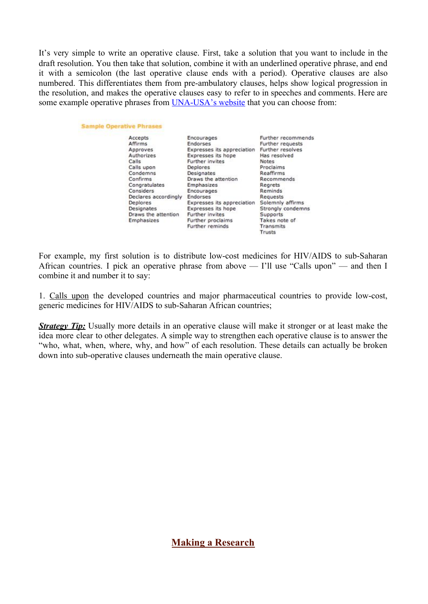It's very simple to write an operative clause. First, take a solution that you want to include in the draft resolution. You then take that solution, combine it with an underlined operative phrase, and end it with a semicolon (the last operative clause ends with a period). Operative clauses are also numbered. This differentiates them from pre-ambulatory clauses, helps show logical progression in the resolution, and makes the operative clauses easy to refer to in speeches and comments. Here are some example operative phrases from [UNA-USA's website](http://www.unausa.org/munpreparation/resolutions/clauses) that you can choose from:

**Sample Operative Phrases** 

| Accepts              | Encourages    |
|----------------------|---------------|
| Affirms              | Endorses      |
| Approves             | Expresses if  |
| Authorizes           | Expresses it  |
| Calls                | Further invit |
| Calls upon           | Deplores      |
| Condemns             | Designates    |
| Confirms             | Draws the a   |
| Congratulates        | Emphasizes    |
| Considers            | Encourages    |
| Declares accordingly | Endorses      |
| Deplores             | Expresses if  |
| Designates           | Expresses if  |
| Draws the attention  | Further invit |
| Emphasizes           | Further prod  |
|                      |               |

indorses xpresses its appreciation xpresses its hope Further invites **Deplores** besignates braws the attention *<u>Imphasizes</u>* ncourages indorses xpresses its appreciation Solemnly affirms xpresses its hope Further invites Further proclaims Further reminds

Further recommends Further requests Further resolves Has resolved Notes Proclaims Reaffirms Recommends Regrets Reminds Requests Strongly condemns Supports Takes note of Transmits Trusts

For example, my first solution is to distribute low-cost medicines for HIV/AIDS to sub-Saharan African countries. I pick an operative phrase from above — I'll use "Calls upon" — and then I combine it and number it to say:

1. Calls upon the developed countries and major pharmaceutical countries to provide low-cost, generic medicines for HIV/AIDS to sub-Saharan African countries;

*Strategy Tip:* Usually more details in an operative clause will make it stronger or at least make the idea more clear to other delegates. A simple way to strengthen each operative clause is to answer the "who, what, when, where, why, and how" of each resolution. These details can actually be broken down into sub-operative clauses underneath the main operative clause.

**Making a Research**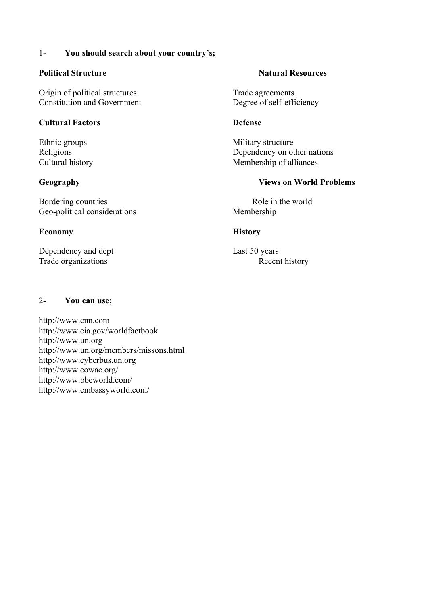#### 1- **You should search about your country's;**

#### **Political Structure Natural Resources Natural Resources**

Origin of political structures<br>
Constitution and Government<br>
Degree of self-efficiency Constitution and Government

#### **Cultural Factors Defense**

Bordering countries Role in the world Geo-political considerations Membership

#### **Economy History**

Dependency and dept Last 50 years Trade organizations Recent history

Ethnic groups Military structure Religions Dependency on other nations Cultural history Membership of alliances

#### **Geography Views on World Problems**

#### 2- **You can use;**

[http://www.](http://www/)cnn.com http://www.cia.gov/worldfactbook http://www.un.org http://www.un.org/members/missons.html http://www.cyberbus.un.org <http://www.cowac.org/> http://www.bbcworld.com/ http://www.embassyworld.com/